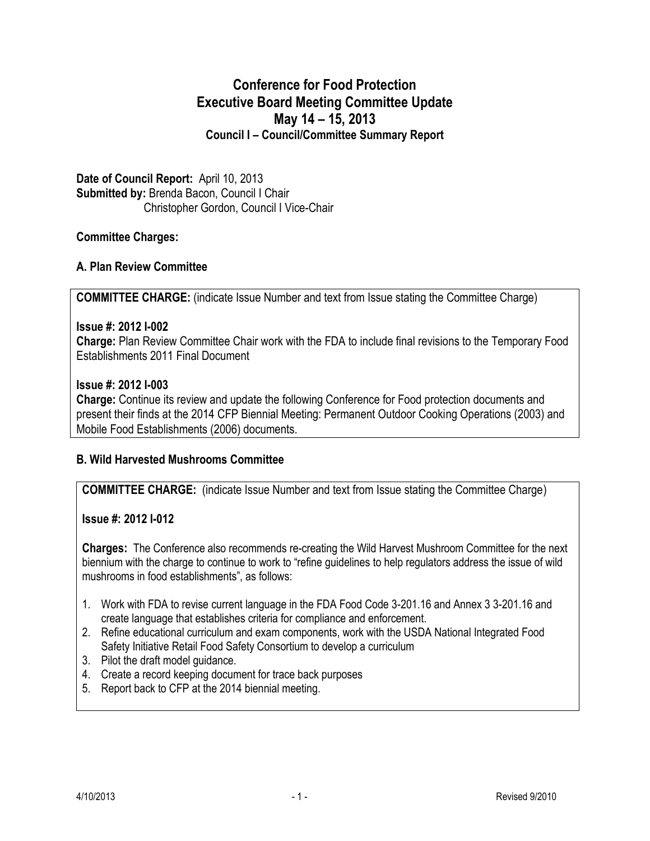# **Conference for Food Protection Executive Board Meeting Committee Update May 14 – 15, 2013 Council I – Council/Committee Summary Report**

**Date of Council Report:** April 10, 2013 **Submitted by:** Brenda Bacon, Council I Chair Christopher Gordon, Council I Vice-Chair

### **Committee Charges:**

### **A. Plan Review Committee**

**COMMITTEE CHARGE:** (indicate Issue Number and text from Issue stating the Committee Charge)

#### **Issue #: 2012 I-002**

**Charge:** Plan Review Committee Chair work with the FDA to include final revisions to the Temporary Food Establishments 2011 Final Document

#### **Issue #: 2012 I-003**

**Charge:** Continue its review and update the following Conference for Food protection documents and present their finds at the 2014 CFP Biennial Meeting: Permanent Outdoor Cooking Operations (2003) and Mobile Food Establishments (2006) documents.

### **B. Wild Harvested Mushrooms Committee**

**COMMITTEE CHARGE:** (indicate Issue Number and text from Issue stating the Committee Charge)

### **Issue #: 2012 I-012**

**Charges:** The Conference also recommends re-creating the Wild Harvest Mushroom Committee for the next biennium with the charge to continue to work to "refine guidelines to help regulators address the issue of wild mushrooms in food establishments", as follows:

- 1. Work with FDA to revise current language in the FDA Food Code 3-201.16 and Annex 3 3-201.16 and create language that establishes criteria for compliance and enforcement.
- 2. Refine educational curriculum and exam components, work with the USDA National Integrated Food Safety Initiative Retail Food Safety Consortium to develop a curriculum
- 3. Pilot the draft model guidance.
- 4. Create a record keeping document for trace back purposes
- 5. Report back to CFP at the 2014 biennial meeting.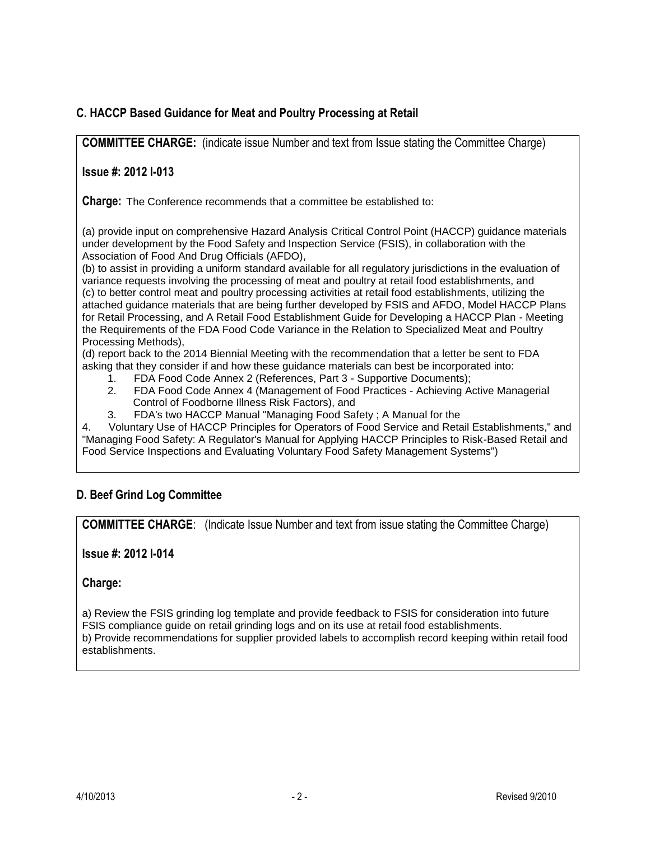## **C. HACCP Based Guidance for Meat and Poultry Processing at Retail**

**COMMITTEE CHARGE:** (indicate issue Number and text from Issue stating the Committee Charge)

**Issue #: 2012 I-013**

**Charge:** The Conference recommends that a committee be established to:

(a) provide input on comprehensive Hazard Analysis Critical Control Point (HACCP) guidance materials under development by the Food Safety and Inspection Service (FSIS), in collaboration with the Association of Food And Drug Officials (AFDO),

(b) to assist in providing a uniform standard available for all regulatory jurisdictions in the evaluation of variance requests involving the processing of meat and poultry at retail food establishments, and (c) to better control meat and poultry processing activities at retail food establishments, utilizing the attached guidance materials that are being further developed by FSIS and AFDO, Model HACCP Plans for Retail Processing, and A Retail Food Establishment Guide for Developing a HACCP Plan - Meeting the Requirements of the FDA Food Code Variance in the Relation to Specialized Meat and Poultry Processing Methods),

(d) report back to the 2014 Biennial Meeting with the recommendation that a letter be sent to FDA asking that they consider if and how these guidance materials can best be incorporated into:

- 1. FDA Food Code Annex 2 (References, Part 3 Supportive Documents);
- 2. FDA Food Code Annex 4 (Management of Food Practices Achieving Active Managerial Control of Foodborne Illness Risk Factors), and
- 3. FDA's two HACCP Manual "Managing Food Safety ; A Manual for the

4. Voluntary Use of HACCP Principles for Operators of Food Service and Retail Establishments," and "Managing Food Safety: A Regulator's Manual for Applying HACCP Principles to Risk-Based Retail and Food Service Inspections and Evaluating Voluntary Food Safety Management Systems")

### **D. Beef Grind Log Committee**

**COMMITTEE CHARGE**: (Indicate Issue Number and text from issue stating the Committee Charge)

**Issue #: 2012 I-014**

**Charge:**

a) Review the FSIS grinding log template and provide feedback to FSIS for consideration into future FSIS compliance guide on retail grinding logs and on its use at retail food establishments.

b) Provide recommendations for supplier provided labels to accomplish record keeping within retail food establishments.